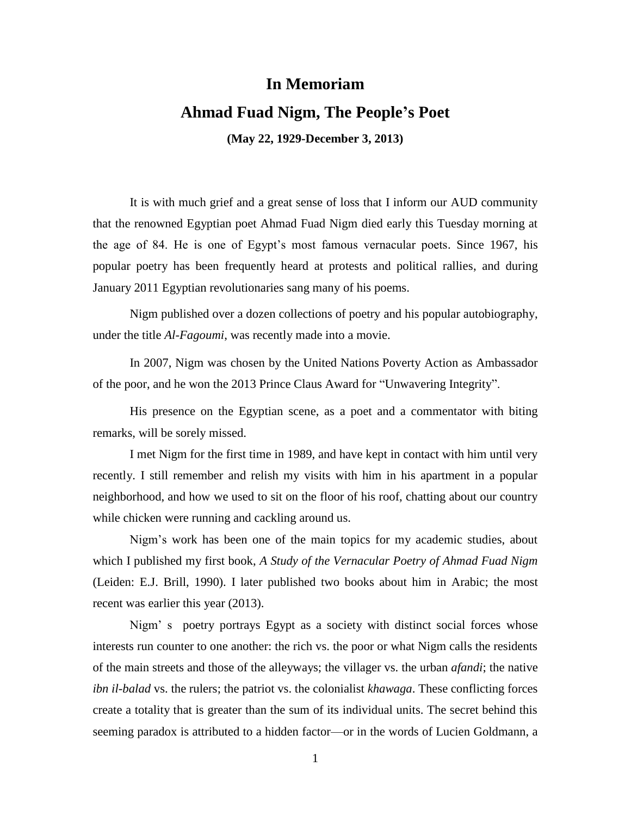## **In Memoriam**

## **Ahmad Fuad Nigm, The People's Poet**

**(May 22, 1929-December 3, 2013)**

It is with much grief and a great sense of loss that I inform our AUD community that the renowned Egyptian poet Ahmad Fuad Nigm died early this Tuesday morning at the age of 84. He is one of Egypt's most famous vernacular poets. Since 1967, his popular poetry has been frequently heard at protests and political rallies, and during January 2011 Egyptian revolutionaries sang many of his poems.

Nigm published over a dozen collections of poetry and his popular autobiography, under the title *Al-Fagoumi*, was recently made into a movie.

In 2007, Nigm was chosen by the [United Nations](http://en.wikipedia.org/wiki/United_Nations) Poverty Action as Ambassador of the poor, and he won the 2013 Prince Claus Award for "Unwavering Integrity".

His presence on the Egyptian scene, as a poet and a commentator with biting remarks, will be sorely missed.

I met Nigm for the first time in 1989, and have kept in contact with him until very recently. I still remember and relish my visits with him in his apartment in a popular neighborhood, and how we used to sit on the floor of his roof, chatting about our country while chicken were running and cackling around us.

Nigm's work has been one of the main topics for my academic studies, about which I published my first book, *A Study of the Vernacular Poetry of Ahmad Fuad Nigm* (Leiden: E.J. Brill, 1990). I later published two books about him in Arabic; the most recent was earlier this year (2013).

Nigm' s poetry portrays Egypt as a society with distinct social forces whose interests run counter to one another: the rich vs. the poor or what Nigm calls the residents of the main streets and those of the alleyways; the villager vs. the urban *afandi*; the native *ibn il-balad* vs. the rulers; the patriot vs. the colonialist *khawaga*. These conflicting forces create a totality that is greater than the sum of its individual units. The secret behind this seeming paradox is attributed to a hidden factor—or in the words of Lucien Goldmann, a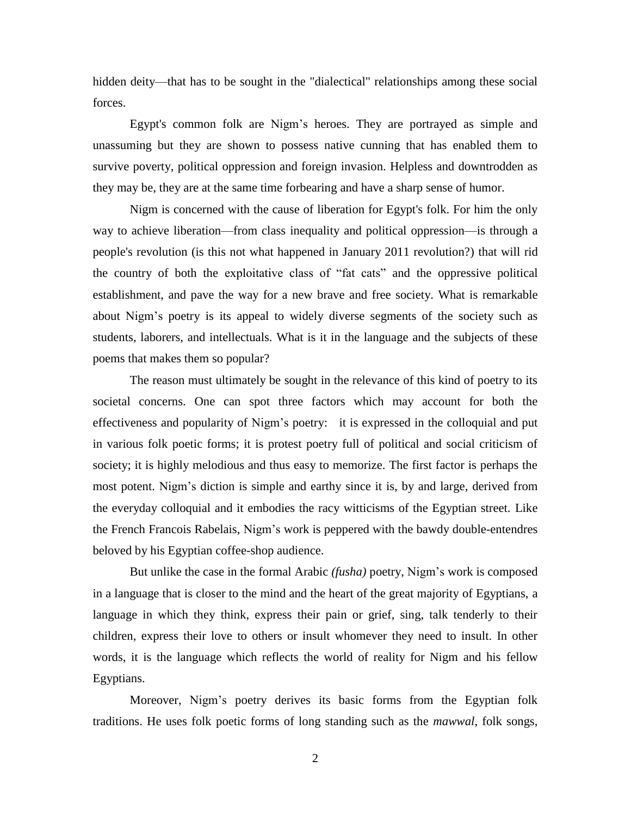hidden deity—that has to be sought in the "dialectical" relationships among these social forces.

Egypt's common folk are Nigm's heroes. They are portrayed as simple and unassuming but they are shown to possess native cunning that has enabled them to survive poverty, political oppression and foreign invasion. Helpless and downtrodden as they may be, they are at the same time forbearing and have a sharp sense of humor.

Nigm is concerned with the cause of liberation for Egypt's folk. For him the only way to achieve liberation—from class inequality and political oppression—is through a people's revolution (is this not what happened in January 2011 revolution?) that will rid the country of both the exploitative class of "fat cats" and the oppressive political establishment, and pave the way for a new brave and free society. What is remarkable about Nigm's poetry is its appeal to widely diverse segments of the society such as students, laborers, and intellectuals. What is it in the language and the subjects of these poems that makes them so popular?

The reason must ultimately be sought in the relevance of this kind of poetry to its societal concerns. One can spot three factors which may account for both the effectiveness and popularity of Nigm's poetry: it is expressed in the colloquial and put in various folk poetic forms; it is protest poetry full of political and social criticism of society; it is highly melodious and thus easy to memorize. The first factor is perhaps the most potent. Nigm's diction is simple and earthy since it is, by and large, derived from the everyday colloquial and it embodies the racy witticisms of the Egyptian street. Like the French Francois Rabelais, Nigm's work is peppered with the bawdy double-entendres beloved by his Egyptian coffee-shop audience.

But unlike the case in the formal Arabic *(fusha)* poetry, Nigm's work is composed in a language that is closer to the mind and the heart of the great majority of Egyptians, a language in which they think, express their pain or grief, sing, talk tenderly to their children, express their love to others or insult whomever they need to insult. In other words, it is the language which reflects the world of reality for Nigm and his fellow Egyptians.

Moreover, Nigm's poetry derives its basic forms from the Egyptian folk traditions. He uses folk poetic forms of long standing such as the *mawwal*, folk songs,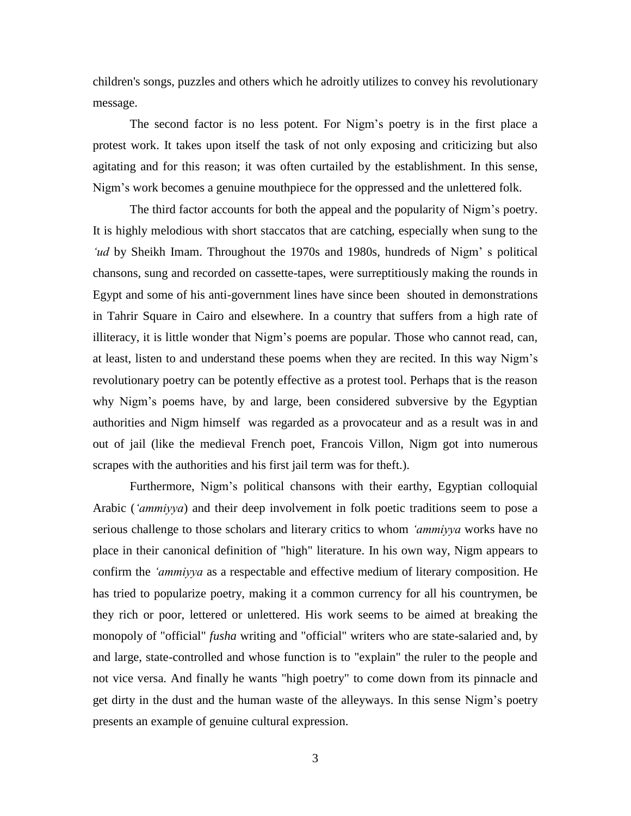children's songs, puzzles and others which he adroitly utilizes to convey his revolutionary message.

The second factor is no less potent. For Nigm's poetry is in the first place a protest work. It takes upon itself the task of not only exposing and criticizing but also agitating and for this reason; it was often curtailed by the establishment. In this sense, Nigm's work becomes a genuine mouthpiece for the oppressed and the unlettered folk.

The third factor accounts for both the appeal and the popularity of Nigm's poetry. It is highly melodious with short staccatos that are catching, especially when sung to the *'ud* by Sheikh Imam. Throughout the 1970s and 1980s, hundreds of Nigm' s political chansons, sung and recorded on cassette-tapes, were surreptitiously making the rounds in Egypt and some of his anti-government lines have since been shouted in demonstrations in Tahrir Square in Cairo and elsewhere. In a country that suffers from a high rate of illiteracy, it is little wonder that Nigm's poems are popular. Those who cannot read, can, at least, listen to and understand these poems when they are recited. In this way Nigm's revolutionary poetry can be potently effective as a protest tool. Perhaps that is the reason why Nigm's poems have, by and large, been considered subversive by the Egyptian authorities and Nigm himself was regarded as a provocateur and as a result was in and out of jail (like the medieval French poet, Francois Villon, Nigm got into numerous scrapes with the authorities and his first jail term was for theft.).

Furthermore, Nigm's political chansons with their earthy, Egyptian colloquial Arabic (*'ammiyya*) and their deep involvement in folk poetic traditions seem to pose a serious challenge to those scholars and literary critics to whom *'ammiyya* works have no place in their canonical definition of "high" literature. In his own way, Nigm appears to confirm the *'ammiyya* as a respectable and effective medium of literary composition. He has tried to popularize poetry, making it a common currency for all his countrymen, be they rich or poor, lettered or unlettered. His work seems to be aimed at breaking the monopoly of "official" *fusha* writing and "official" writers who are state-salaried and, by and large, state-controlled and whose function is to "explain" the ruler to the people and not vice versa. And finally he wants "high poetry" to come down from its pinnacle and get dirty in the dust and the human waste of the alleyways. In this sense Nigm's poetry presents an example of genuine cultural expression.